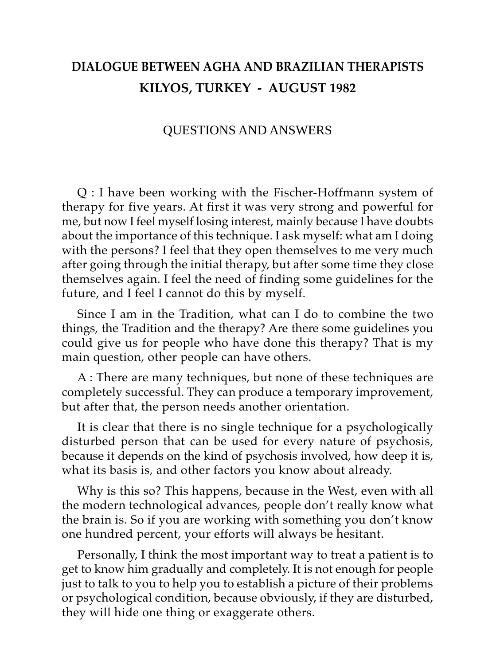## **DIALOGUE BETWEEN AGHA AND BRAZILIAN THERAPISTS KILYOS, TURKEY - AUGUST 1982**

## QUESTIONS AND ANSWERS

Q : I have been working with the Fischer-Hoffmann system of therapy for five years. At first it was very strong and powerful for me, but now I feel myself losing interest, mainly because I have doubts about the importance of this technique. I ask myself: what am I doing with the persons? I feel that they open themselves to me very much after going through the initial therapy, but after some time they close themselves again. I feel the need of finding some guidelines for the future, and I feel I cannot do this by myself.

Since I am in the Tradition, what can I do to combine the two things, the Tradition and the therapy? Are there some guidelines you could give us for people who have done this therapy? That is my main question, other people can have others.

A : There are many techniques, but none of these techniques are completely successful. They can produce a temporary improvement, but after that, the person needs another orientation.

It is clear that there is no single technique for a psychologically disturbed person that can be used for every nature of psychosis, because it depends on the kind of psychosis involved, how deep it is, what its basis is, and other factors you know about already.

Why is this so? This happens, because in the West, even with all the modern technological advances, people don't really know what the brain is. So if you are working with something you don't know one hundred percent, your efforts will always be hesitant.

Personally, I think the most important way to treat a patient is to get to know him gradually and completely. It is not enough for people just to talk to you to help you to establish a picture of their problems or psychological condition, because obviously, if they are disturbed, they will hide one thing or exaggerate others.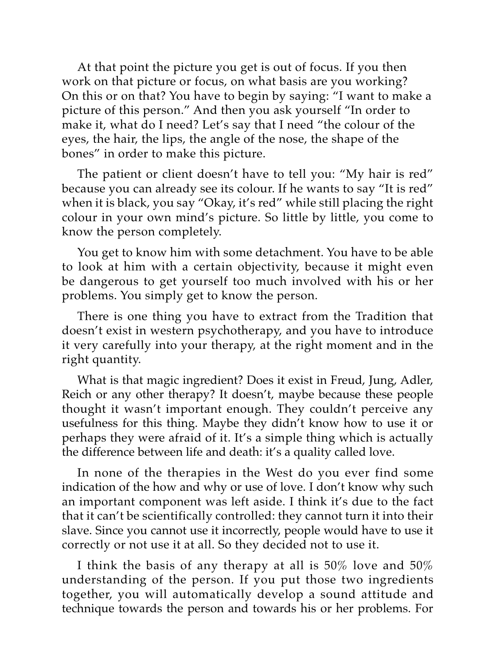At that point the picture you get is out of focus. If you then work on that picture or focus, on what basis are you working? On this or on that? You have to begin by saying: "I want to make a picture of this person." And then you ask yourself "In order to make it, what do I need? Let's say that I need "the colour of the eyes, the hair, the lips, the angle of the nose, the shape of the bones" in order to make this picture.

The patient or client doesn't have to tell you: "My hair is red" because you can already see its colour. If he wants to say "It is red" when it is black, you say "Okay, it's red" while still placing the right colour in your own mind's picture. So little by little, you come to know the person completely.

You get to know him with some detachment. You have to be able to look at him with a certain objectivity, because it might even be dangerous to get yourself too much involved with his or her problems. You simply get to know the person.

There is one thing you have to extract from the Tradition that doesn't exist in western psychotherapy, and you have to introduce it very carefully into your therapy, at the right moment and in the right quantity.

What is that magic ingredient? Does it exist in Freud, Jung, Adler, Reich or any other therapy? It doesn't, maybe because these people thought it wasn't important enough. They couldn't perceive any usefulness for this thing. Maybe they didn't know how to use it or perhaps they were afraid of it. It's a simple thing which is actually the difference between life and death: it's a quality called love.

In none of the therapies in the West do you ever find some indication of the how and why or use of love. I don't know why such an important component was left aside. I think it's due to the fact that it can't be scientifically controlled: they cannot turn it into their slave. Since you cannot use it incorrectly, people would have to use it correctly or not use it at all. So they decided not to use it.

I think the basis of any therapy at all is 50% love and 50% understanding of the person. If you put those two ingredients together, you will automatically develop a sound attitude and technique towards the person and towards his or her problems. For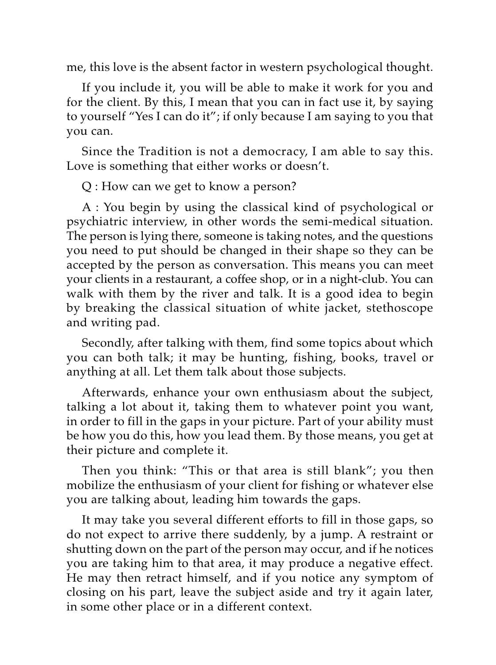me, this love is the absent factor in western psychological thought.

If you include it, you will be able to make it work for you and for the client. By this, I mean that you can in fact use it, by saying to yourself "Yes I can do it"; if only because I am saying to you that you can.

Since the Tradition is not a democracy, I am able to say this. Love is something that either works or doesn't.

Q : How can we get to know a person?

A : You begin by using the classical kind of psychological or psychiatric interview, in other words the semi-medical situation. The person is lying there, someone is taking notes, and the questions you need to put should be changed in their shape so they can be accepted by the person as conversation. This means you can meet your clients in a restaurant, a coffee shop, or in a night-club. You can walk with them by the river and talk. It is a good idea to begin by breaking the classical situation of white jacket, stethoscope and writing pad.

Secondly, after talking with them, find some topics about which you can both talk; it may be hunting, fishing, books, travel or anything at all. Let them talk about those subjects.

Afterwards, enhance your own enthusiasm about the subject, talking a lot about it, taking them to whatever point you want, in order to fill in the gaps in your picture. Part of your ability must be how you do this, how you lead them. By those means, you get at their picture and complete it.

Then you think: "This or that area is still blank"; you then mobilize the enthusiasm of your client for fishing or whatever else you are talking about, leading him towards the gaps.

It may take you several different efforts to fill in those gaps, so do not expect to arrive there suddenly, by a jump. A restraint or shutting down on the part of the person may occur, and if he notices you are taking him to that area, it may produce a negative effect. He may then retract himself, and if you notice any symptom of closing on his part, leave the subject aside and try it again later, in some other place or in a different context.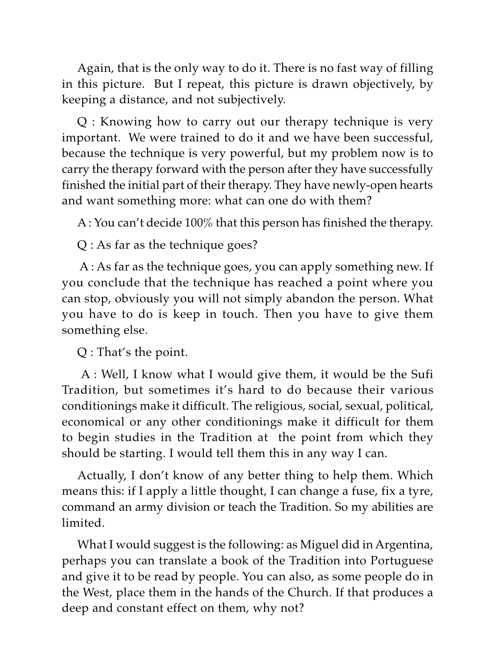Again, that is the only way to do it. There is no fast way of filling in this picture. But I repeat, this picture is drawn objectively, by keeping a distance, and not subjectively.

Q : Knowing how to carry out our therapy technique is very important. We were trained to do it and we have been successful, because the technique is very powerful, but my problem now is to carry the therapy forward with the person after they have successfully finished the initial part of their therapy. They have newly-open hearts and want something more: what can one do with them?

A : You can't decide 100% that this person has finished the therapy.

Q : As far as the technique goes?

 A : As far as the technique goes, you can apply something new. If you conclude that the technique has reached a point where you can stop, obviously you will not simply abandon the person. What you have to do is keep in touch. Then you have to give them something else.

Q : That's the point.

 A : Well, I know what I would give them, it would be the Sufi Tradition, but sometimes it's hard to do because their various conditionings make it difficult. The religious, social, sexual, political, economical or any other conditionings make it difficult for them to begin studies in the Tradition at the point from which they should be starting. I would tell them this in any way I can.

Actually, I don't know of any better thing to help them. Which means this: if I apply a little thought, I can change a fuse, fix a tyre, command an army division or teach the Tradition. So my abilities are limited.

What I would suggest is the following: as Miguel did in Argentina, perhaps you can translate a book of the Tradition into Portuguese and give it to be read by people. You can also, as some people do in the West, place them in the hands of the Church. If that produces a deep and constant effect on them, why not?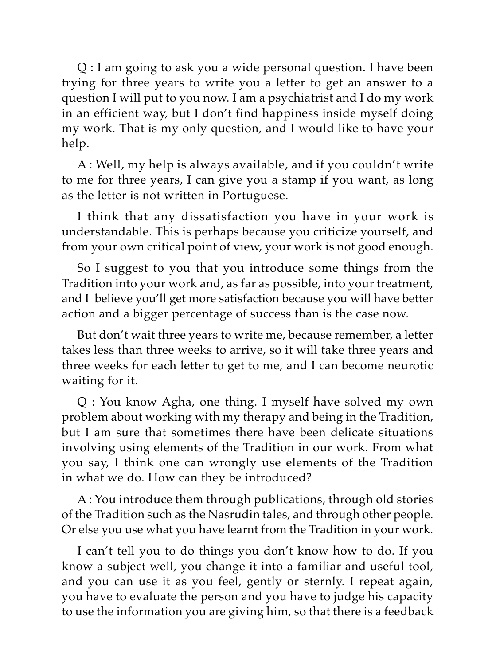Q : I am going to ask you a wide personal question. I have been trying for three years to write you a letter to get an answer to a question I will put to you now. I am a psychiatrist and I do my work in an efficient way, but I don't find happiness inside myself doing my work. That is my only question, and I would like to have your help.

A : Well, my help is always available, and if you couldn't write to me for three years, I can give you a stamp if you want, as long as the letter is not written in Portuguese.

I think that any dissatisfaction you have in your work is understandable. This is perhaps because you criticize yourself, and from your own critical point of view, your work is not good enough.

So I suggest to you that you introduce some things from the Tradition into your work and, as far as possible, into your treatment, and I believe you'll get more satisfaction because you will have better action and a bigger percentage of success than is the case now.

But don't wait three years to write me, because remember, a letter takes less than three weeks to arrive, so it will take three years and three weeks for each letter to get to me, and I can become neurotic waiting for it.

Q : You know Agha, one thing. I myself have solved my own problem about working with my therapy and being in the Tradition, but I am sure that sometimes there have been delicate situations involving using elements of the Tradition in our work. From what you say, I think one can wrongly use elements of the Tradition in what we do. How can they be introduced?

A : You introduce them through publications, through old stories of the Tradition such as the Nasrudin tales, and through other people. Or else you use what you have learnt from the Tradition in your work.

I can't tell you to do things you don't know how to do. If you know a subject well, you change it into a familiar and useful tool, and you can use it as you feel, gently or sternly. I repeat again, you have to evaluate the person and you have to judge his capacity to use the information you are giving him, so that there is a feedback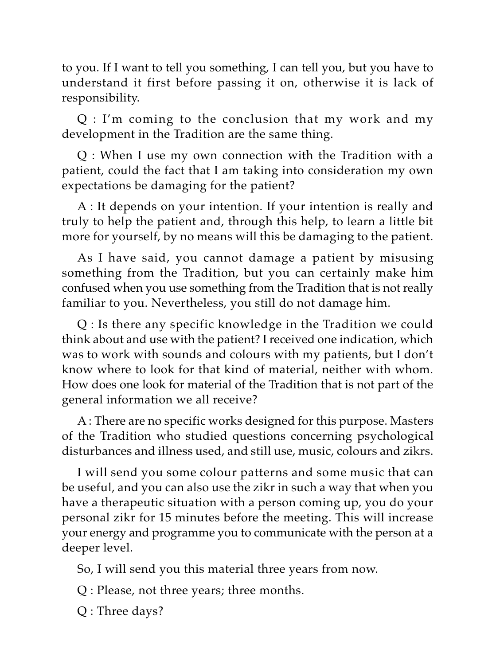to you. If I want to tell you something, I can tell you, but you have to understand it first before passing it on, otherwise it is lack of responsibility.

Q : I'm coming to the conclusion that my work and my development in the Tradition are the same thing.

Q : When I use my own connection with the Tradition with a patient, could the fact that I am taking into consideration my own expectations be damaging for the patient?

A : It depends on your intention. If your intention is really and truly to help the patient and, through this help, to learn a little bit more for yourself, by no means will this be damaging to the patient.

As I have said, you cannot damage a patient by misusing something from the Tradition, but you can certainly make him confused when you use something from the Tradition that is not really familiar to you. Nevertheless, you still do not damage him.

Q : Is there any specific knowledge in the Tradition we could think about and use with the patient? I received one indication, which was to work with sounds and colours with my patients, but I don't know where to look for that kind of material, neither with whom. How does one look for material of the Tradition that is not part of the general information we all receive?

A : There are no specific works designed for this purpose. Masters of the Tradition who studied questions concerning psychological disturbances and illness used, and still use, music, colours and zikrs.

I will send you some colour patterns and some music that can be useful, and you can also use the zikr in such a way that when you have a therapeutic situation with a person coming up, you do your personal zikr for 15 minutes before the meeting. This will increase your energy and programme you to communicate with the person at a deeper level.

So, I will send you this material three years from now.

Q : Please, not three years; three months.

Q : Three days?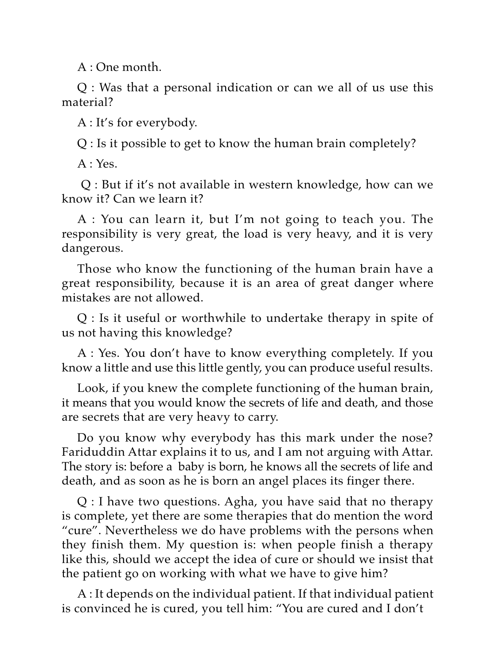A : One month.

Q : Was that a personal indication or can we all of us use this material?

A : It's for everybody.

Q : Is it possible to get to know the human brain completely?

 $A: Yes.$ 

 Q : But if it's not available in western knowledge, how can we know it? Can we learn it?

A : You can learn it, but I'm not going to teach you. The responsibility is very great, the load is very heavy, and it is very dangerous.

Those who know the functioning of the human brain have a great responsibility, because it is an area of great danger where mistakes are not allowed.

Q : Is it useful or worthwhile to undertake therapy in spite of us not having this knowledge?

A : Yes. You don't have to know everything completely. If you know a little and use this little gently, you can produce useful results.

Look, if you knew the complete functioning of the human brain, it means that you would know the secrets of life and death, and those are secrets that are very heavy to carry.

Do you know why everybody has this mark under the nose? Fariduddin Attar explains it to us, and I am not arguing with Attar. The story is: before a baby is born, he knows all the secrets of life and death, and as soon as he is born an angel places its finger there.

Q : I have two questions. Agha, you have said that no therapy is complete, yet there are some therapies that do mention the word "cure". Nevertheless we do have problems with the persons when they finish them. My question is: when people finish a therapy like this, should we accept the idea of cure or should we insist that the patient go on working with what we have to give him?

A : It depends on the individual patient. If that individual patient is convinced he is cured, you tell him: "You are cured and I don't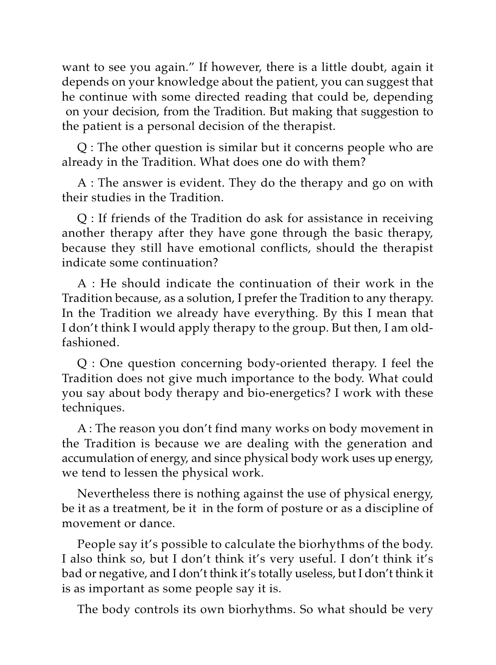want to see you again." If however, there is a little doubt, again it depends on your knowledge about the patient, you can suggest that he continue with some directed reading that could be, depending on your decision, from the Tradition. But making that suggestion to the patient is a personal decision of the therapist.

Q : The other question is similar but it concerns people who are already in the Tradition. What does one do with them?

A : The answer is evident. They do the therapy and go on with their studies in the Tradition.

Q : If friends of the Tradition do ask for assistance in receiving another therapy after they have gone through the basic therapy, because they still have emotional conflicts, should the therapist indicate some continuation?

A : He should indicate the continuation of their work in the Tradition because, as a solution, I prefer the Tradition to any therapy. In the Tradition we already have everything. By this I mean that I don't think I would apply therapy to the group. But then, I am oldfashioned.

Q : One question concerning body-oriented therapy. I feel the Tradition does not give much importance to the body. What could you say about body therapy and bio-energetics? I work with these techniques.

A : The reason you don't find many works on body movement in the Tradition is because we are dealing with the generation and accumulation of energy, and since physical body work uses up energy, we tend to lessen the physical work.

Nevertheless there is nothing against the use of physical energy, be it as a treatment, be it in the form of posture or as a discipline of movement or dance.

People say it's possible to calculate the biorhythms of the body. I also think so, but I don't think it's very useful. I don't think it's bad or negative, and I don't think it's totally useless, but I don't think it is as important as some people say it is.

The body controls its own biorhythms. So what should be very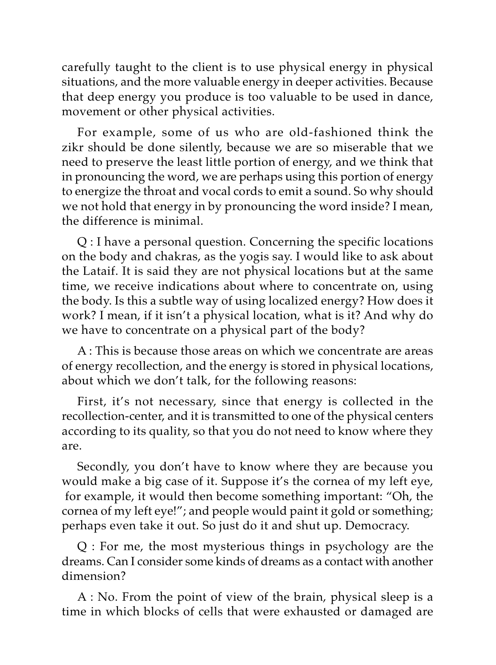carefully taught to the client is to use physical energy in physical situations, and the more valuable energy in deeper activities. Because that deep energy you produce is too valuable to be used in dance, movement or other physical activities.

For example, some of us who are old-fashioned think the zikr should be done silently, because we are so miserable that we need to preserve the least little portion of energy, and we think that in pronouncing the word, we are perhaps using this portion of energy to energize the throat and vocal cords to emit a sound. So why should we not hold that energy in by pronouncing the word inside? I mean, the difference is minimal.

Q : I have a personal question. Concerning the specific locations on the body and chakras, as the yogis say. I would like to ask about the Lataif. It is said they are not physical locations but at the same time, we receive indications about where to concentrate on, using the body. Is this a subtle way of using localized energy? How does it work? I mean, if it isn't a physical location, what is it? And why do we have to concentrate on a physical part of the body?

A : This is because those areas on which we concentrate are areas of energy recollection, and the energy is stored in physical locations, about which we don't talk, for the following reasons:

First, it's not necessary, since that energy is collected in the recollection-center, and it is transmitted to one of the physical centers according to its quality, so that you do not need to know where they are.

Secondly, you don't have to know where they are because you would make a big case of it. Suppose it's the cornea of my left eye, for example, it would then become something important: "Oh, the cornea of my left eye!"; and people would paint it gold or something; perhaps even take it out. So just do it and shut up. Democracy.

Q : For me, the most mysterious things in psychology are the dreams. Can I consider some kinds of dreams as a contact with another dimension?

A : No. From the point of view of the brain, physical sleep is a time in which blocks of cells that were exhausted or damaged are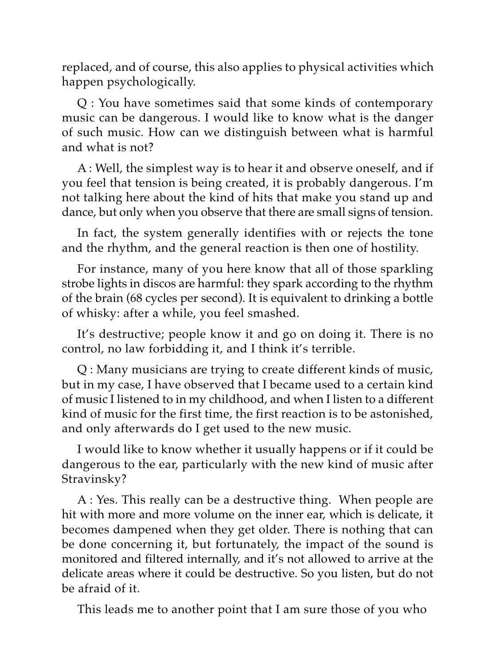replaced, and of course, this also applies to physical activities which happen psychologically.

Q : You have sometimes said that some kinds of contemporary music can be dangerous. I would like to know what is the danger of such music. How can we distinguish between what is harmful and what is not?

A : Well, the simplest way is to hear it and observe oneself, and if you feel that tension is being created, it is probably dangerous. I'm not talking here about the kind of hits that make you stand up and dance, but only when you observe that there are small signs of tension.

In fact, the system generally identifies with or rejects the tone and the rhythm, and the general reaction is then one of hostility.

For instance, many of you here know that all of those sparkling strobe lights in discos are harmful: they spark according to the rhythm of the brain (68 cycles per second). It is equivalent to drinking a bottle of whisky: after a while, you feel smashed.

It's destructive; people know it and go on doing it. There is no control, no law forbidding it, and I think it's terrible.

Q : Many musicians are trying to create different kinds of music, but in my case, I have observed that I became used to a certain kind of music I listened to in my childhood, and when I listen to a different kind of music for the first time, the first reaction is to be astonished, and only afterwards do I get used to the new music.

I would like to know whether it usually happens or if it could be dangerous to the ear, particularly with the new kind of music after Stravinsky?

A : Yes. This really can be a destructive thing. When people are hit with more and more volume on the inner ear, which is delicate, it becomes dampened when they get older. There is nothing that can be done concerning it, but fortunately, the impact of the sound is monitored and filtered internally, and it's not allowed to arrive at the delicate areas where it could be destructive. So you listen, but do not be afraid of it.

This leads me to another point that I am sure those of you who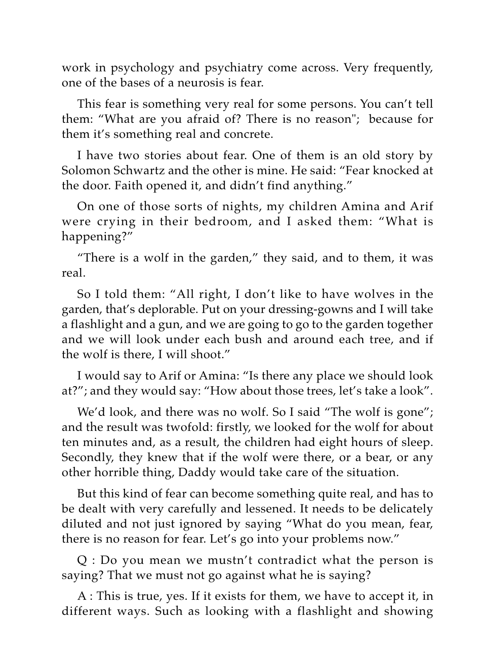work in psychology and psychiatry come across. Very frequently, one of the bases of a neurosis is fear.

This fear is something very real for some persons. You can't tell them: "What are you afraid of? There is no reason"; because for them it's something real and concrete.

I have two stories about fear. One of them is an old story by Solomon Schwartz and the other is mine. He said: "Fear knocked at the door. Faith opened it, and didn't find anything."

On one of those sorts of nights, my children Amina and Arif were crying in their bedroom, and I asked them: "What is happening?"

"There is a wolf in the garden," they said, and to them, it was real.

So I told them: "All right, I don't like to have wolves in the garden, that's deplorable. Put on your dressing-gowns and I will take a flashlight and a gun, and we are going to go to the garden together and we will look under each bush and around each tree, and if the wolf is there, I will shoot."

I would say to Arif or Amina: "Is there any place we should look at?"; and they would say: "How about those trees, let's take a look".

We'd look, and there was no wolf. So I said "The wolf is gone"; and the result was twofold: firstly, we looked for the wolf for about ten minutes and, as a result, the children had eight hours of sleep. Secondly, they knew that if the wolf were there, or a bear, or any other horrible thing, Daddy would take care of the situation.

But this kind of fear can become something quite real, and has to be dealt with very carefully and lessened. It needs to be delicately diluted and not just ignored by saying "What do you mean, fear, there is no reason for fear. Let's go into your problems now."

Q : Do you mean we mustn't contradict what the person is saying? That we must not go against what he is saying?

A : This is true, yes. If it exists for them, we have to accept it, in different ways. Such as looking with a flashlight and showing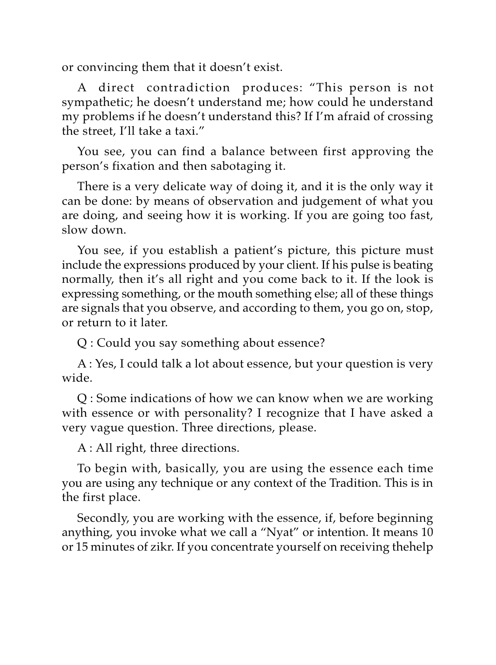or convincing them that it doesn't exist.

A direct contradiction produces: "This person is not sympathetic; he doesn't understand me; how could he understand my problems if he doesn't understand this? If I'm afraid of crossing the street, I'll take a taxi."

You see, you can find a balance between first approving the person's fixation and then sabotaging it.

There is a very delicate way of doing it, and it is the only way it can be done: by means of observation and judgement of what you are doing, and seeing how it is working. If you are going too fast, slow down.

You see, if you establish a patient's picture, this picture must include the expressions produced by your client. If his pulse is beating normally, then it's all right and you come back to it. If the look is expressing something, or the mouth something else; all of these things are signals that you observe, and according to them, you go on, stop, or return to it later.

Q : Could you say something about essence?

A : Yes, I could talk a lot about essence, but your question is very wide.

Q : Some indications of how we can know when we are working with essence or with personality? I recognize that I have asked a very vague question. Three directions, please.

A : All right, three directions.

To begin with, basically, you are using the essence each time you are using any technique or any context of the Tradition. This is in the first place.

Secondly, you are working with the essence, if, before beginning anything, you invoke what we call a "Nyat" or intention. It means 10 or 15 minutes of zikr. If you concentrate yourself on receiving thehelp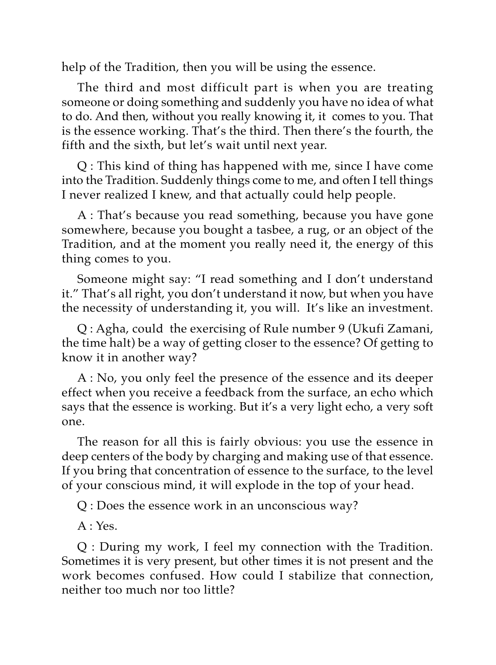help of the Tradition, then you will be using the essence.

The third and most difficult part is when you are treating someone or doing something and suddenly you have no idea of what to do. And then, without you really knowing it, it comes to you. That is the essence working. That's the third. Then there's the fourth, the fifth and the sixth, but let's wait until next year.

Q : This kind of thing has happened with me, since I have come into the Tradition. Suddenly things come to me, and often I tell things I never realized I knew, and that actually could help people.

A : That's because you read something, because you have gone somewhere, because you bought a tasbee, a rug, or an object of the Tradition, and at the moment you really need it, the energy of this thing comes to you.

Someone might say: "I read something and I don't understand it." That's all right, you don't understand it now, but when you have the necessity of understanding it, you will. It's like an investment.

Q : Agha, could the exercising of Rule number 9 (Ukufi Zamani, the time halt) be a way of getting closer to the essence? Of getting to know it in another way?

A : No, you only feel the presence of the essence and its deeper effect when you receive a feedback from the surface, an echo which says that the essence is working. But it's a very light echo, a very soft one.

The reason for all this is fairly obvious: you use the essence in deep centers of the body by charging and making use of that essence. If you bring that concentration of essence to the surface, to the level of your conscious mind, it will explode in the top of your head.

Q : Does the essence work in an unconscious way?

 $A \cdot Y_{PS}$ 

Q : During my work, I feel my connection with the Tradition. Sometimes it is very present, but other times it is not present and the work becomes confused. How could I stabilize that connection, neither too much nor too little?